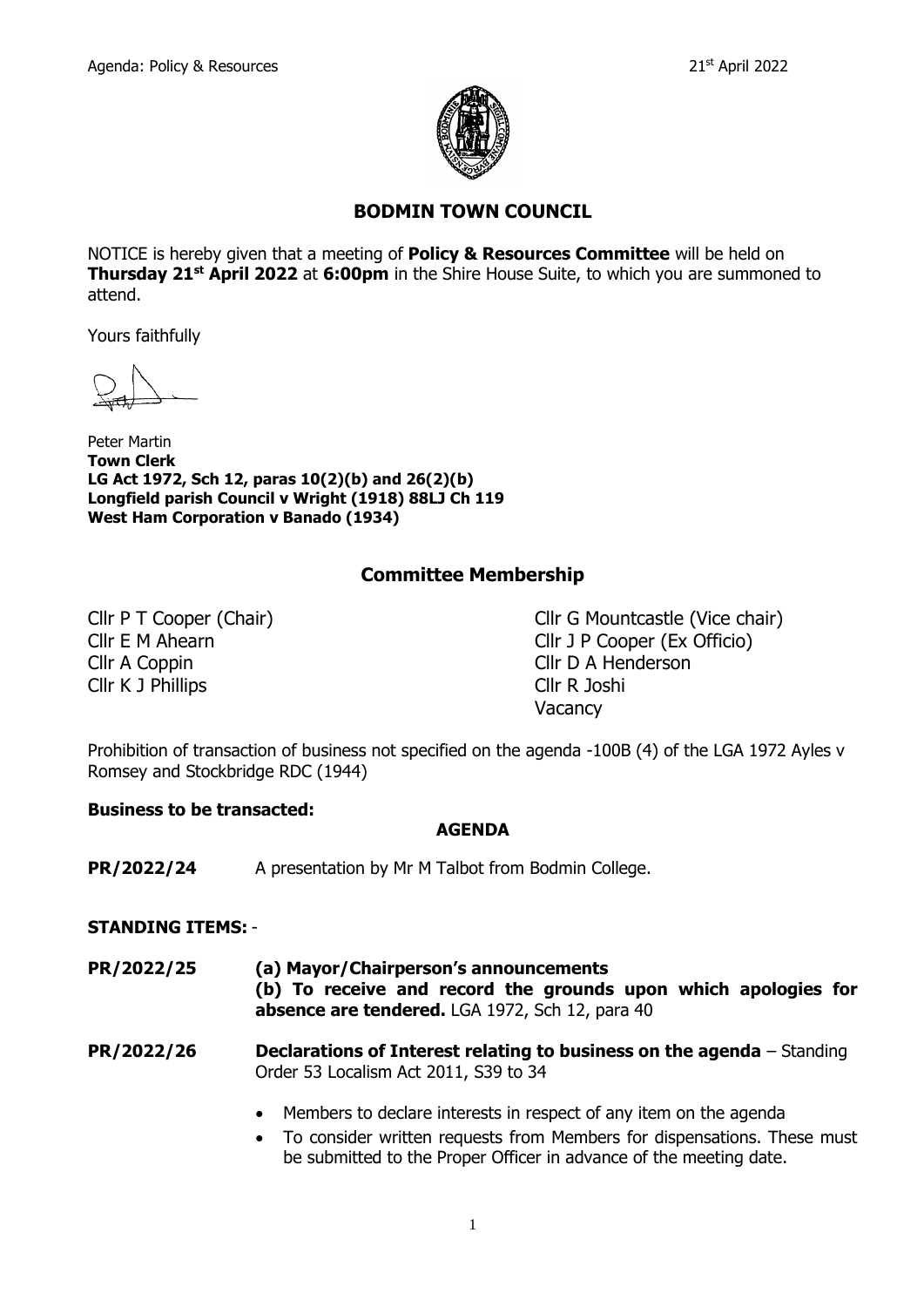

# **BODMIN TOWN COUNCIL**

NOTICE is hereby given that a meeting of **Policy & Resources Committee** will be held on **Thursday 21st April 2022** at **6:00pm** in the Shire House Suite, to which you are summoned to attend.

Yours faithfully

Peter Martin **Town Clerk LG Act 1972, Sch 12, paras 10(2)(b) and 26(2)(b) Longfield parish Council v Wright (1918) 88LJ Ch 119 West Ham Corporation v Banado (1934)**

## **Committee Membership**

Cllr A Coppin Cllr D A Henderson Cllr K J Phillips Cllr R Joshi

Cllr P T Cooper (Chair) Cllr G Mountcastle (Vice chair) Cllr E M Ahearn Cllr J P Cooper (Ex Officio) Vacancy

Prohibition of transaction of business not specified on the agenda -100B (4) of the LGA 1972 Ayles v Romsey and Stockbridge RDC (1944)

#### **Business to be transacted:**

#### **AGENDA**

**PR/2022/24** A presentation by Mr M Talbot from Bodmin College.

#### **STANDING ITEMS:** -

**PR/2022/25 (a) Mayor/Chairperson's announcements (b) To receive and record the grounds upon which apologies for absence are tendered.** LGA 1972, Sch 12, para 40

**PR/2022/26 Declarations of Interest relating to business on the agenda** – Standing Order 53 Localism Act 2011, S39 to 34

- Members to declare interests in respect of any item on the agenda
- To consider written requests from Members for dispensations. These must be submitted to the Proper Officer in advance of the meeting date.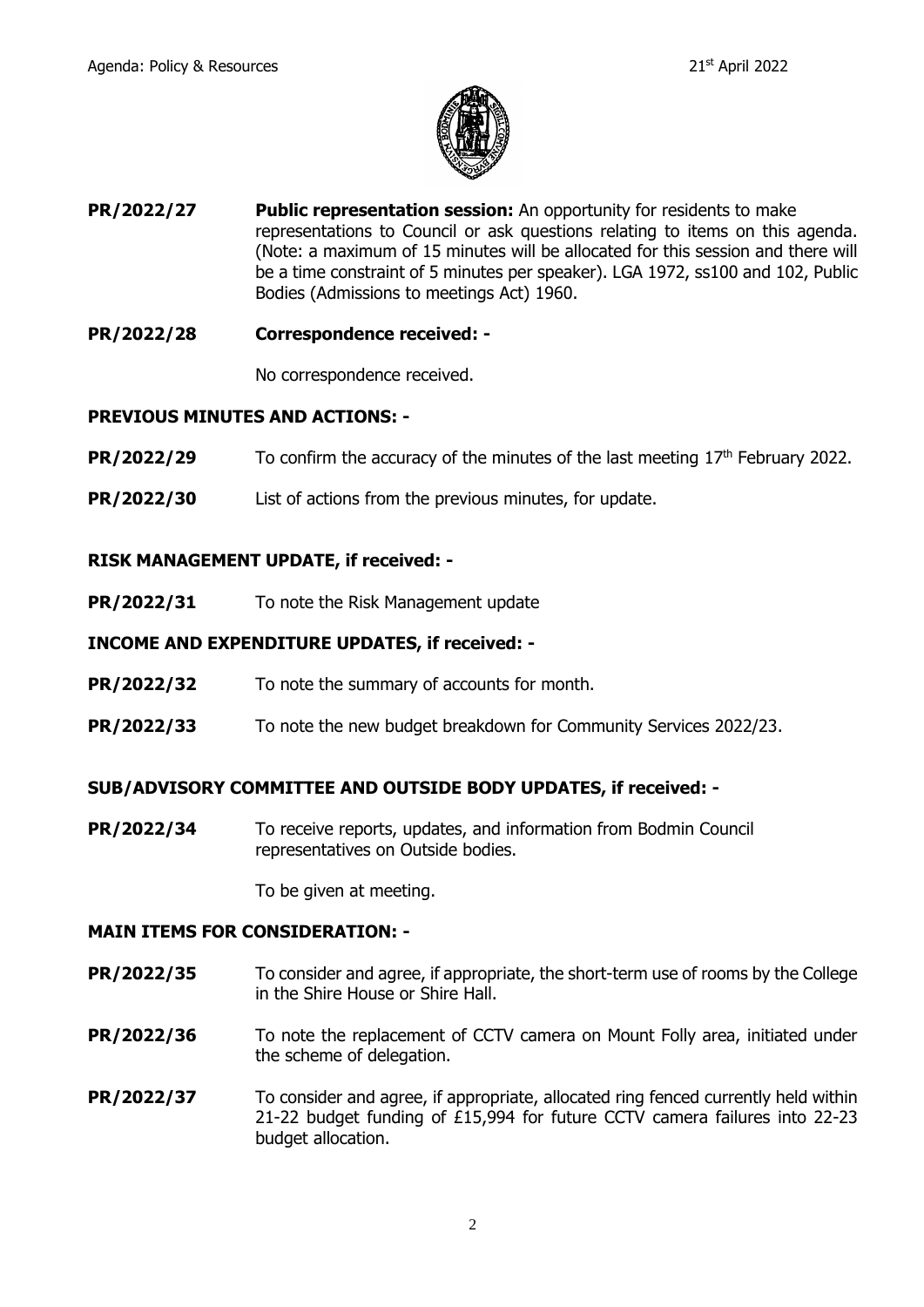

- **PR/2022/27 Public representation session:** An opportunity for residents to make representations to Council or ask questions relating to items on this agenda. (Note: a maximum of 15 minutes will be allocated for this session and there will be a time constraint of 5 minutes per speaker). LGA 1972, ss100 and 102, Public Bodies (Admissions to meetings Act) 1960.
- **PR/2022/28 Correspondence received: -**

No correspondence received.

### **PREVIOUS MINUTES AND ACTIONS: -**

- **PR/2022/29** To confirm the accuracy of the minutes of the last meeting 17<sup>th</sup> February 2022.
- **PR/2022/30** List of actions from the previous minutes, for update.

#### **RISK MANAGEMENT UPDATE, if received: -**

**PR/2022/31** To note the Risk Management update

#### **INCOME AND EXPENDITURE UPDATES, if received: -**

- **PR/2022/32** To note the summary of accounts for month.
- **PR/2022/33** To note the new budget breakdown for Community Services 2022/23.

#### **SUB/ADVISORY COMMITTEE AND OUTSIDE BODY UPDATES, if received: -**

**PR/2022/34** To receive reports, updates, and information from Bodmin Council representatives on Outside bodies.

To be given at meeting.

#### **MAIN ITEMS FOR CONSIDERATION: -**

- **PR/2022/35** To consider and agree, if appropriate, the short-term use of rooms by the College in the Shire House or Shire Hall.
- **PR/2022/36** To note the replacement of CCTV camera on Mount Folly area, initiated under the scheme of delegation.
- **PR/2022/37** To consider and agree, if appropriate, allocated ring fenced currently held within 21-22 budget funding of £15,994 for future CCTV camera failures into 22-23 budget allocation.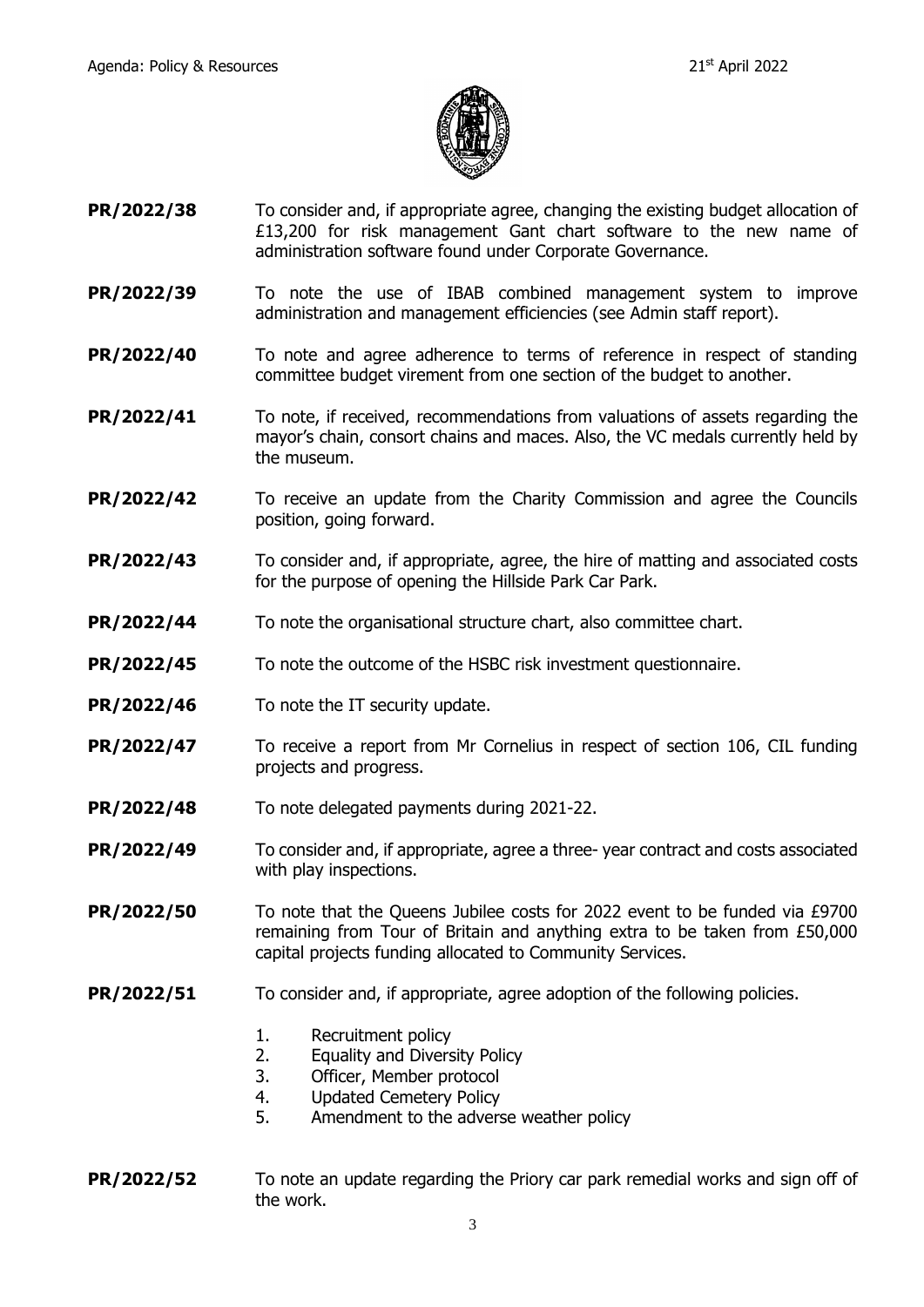

- **PR/2022/38** To consider and, if appropriate agree, changing the existing budget allocation of £13,200 for risk management Gant chart software to the new name of administration software found under Corporate Governance.
- **PR/2022/39** To note the use of IBAB combined management system to improve administration and management efficiencies (see Admin staff report).
- **PR/2022/40** To note and agree adherence to terms of reference in respect of standing committee budget virement from one section of the budget to another.
- **PR/2022/41** To note, if received, recommendations from valuations of assets regarding the mayor's chain, consort chains and maces. Also, the VC medals currently held by the museum.
- **PR/2022/42** To receive an update from the Charity Commission and agree the Councils position, going forward.
- **PR/2022/43** To consider and, if appropriate, agree, the hire of matting and associated costs for the purpose of opening the Hillside Park Car Park.
- **PR/2022/44** To note the organisational structure chart, also committee chart.
- **PR/2022/45** To note the outcome of the HSBC risk investment questionnaire.
- **PR/2022/46** To note the IT security update.
- **PR/2022/47** To receive a report from Mr Cornelius in respect of section 106, CIL funding projects and progress.
- **PR/2022/48** To note delegated payments during 2021-22.
- **PR/2022/49** To consider and, if appropriate, agree a three-year contract and costs associated with play inspections.
- **PR/2022/50** To note that the Queens Jubilee costs for 2022 event to be funded via £9700 remaining from Tour of Britain and anything extra to be taken from £50,000 capital projects funding allocated to Community Services.
- **PR/2022/51** To consider and, if appropriate, agree adoption of the following policies.
	- 1. Recruitment policy
	- 2. Equality and Diversity Policy
	- 3. Officer, Member protocol
	- 4. Updated Cemetery Policy
	- 5. Amendment to the adverse weather policy
- **PR/2022/52** To note an update regarding the Priory car park remedial works and sign off of the work.